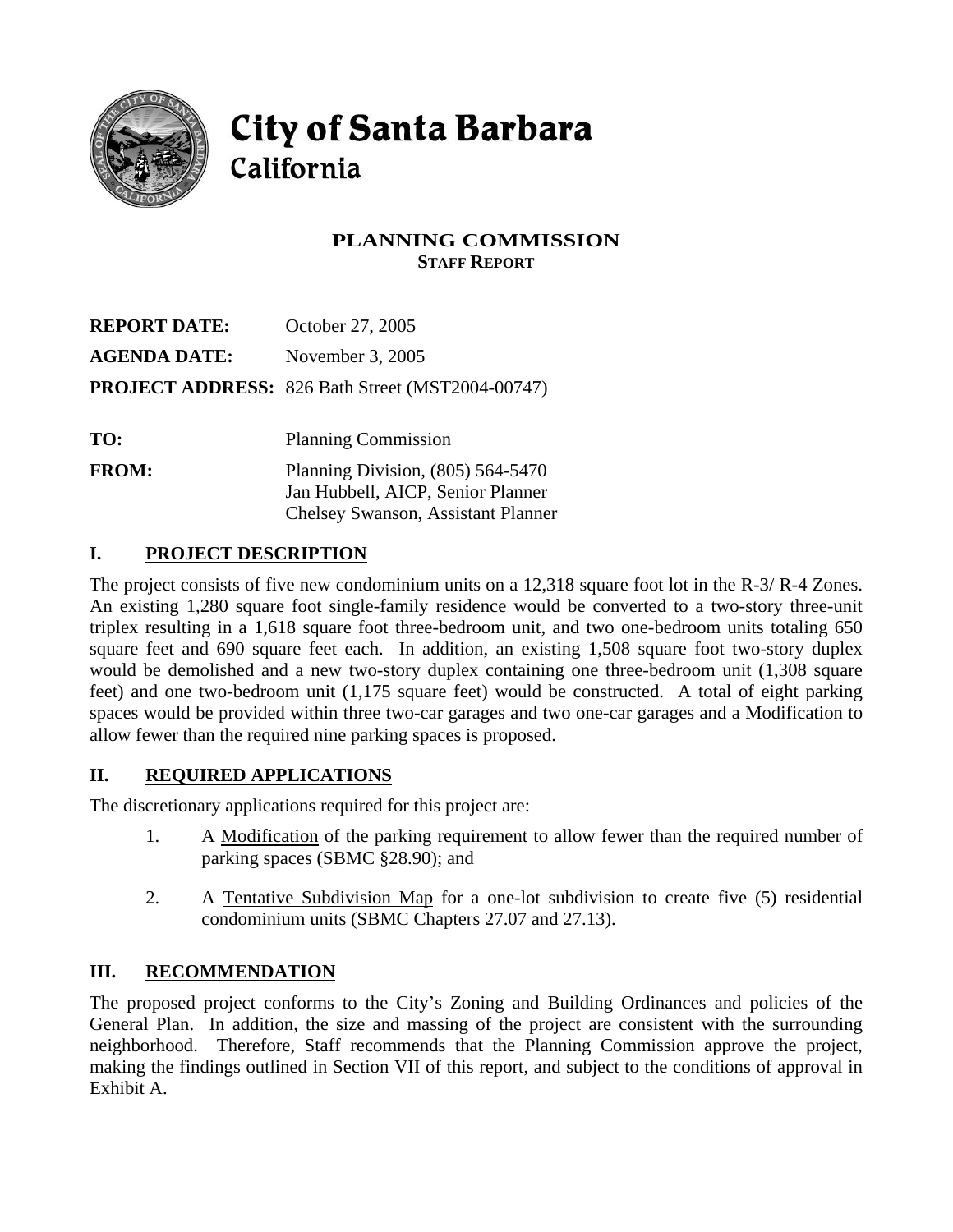

# **City of Santa Barbara** California

## **PLANNING COMMISSION STAFF REPORT**

| <b>REPORT DATE:</b> | October 27, 2005                                        |
|---------------------|---------------------------------------------------------|
| <b>AGENDA DATE:</b> | November 3, 2005                                        |
|                     | <b>PROJECT ADDRESS:</b> 826 Bath Street (MST2004-00747) |
|                     |                                                         |
| TO:                 | <b>Planning Commission</b>                              |
| <b>FROM:</b>        | Planning Division, $(805)$ 564-5470                     |
|                     | Jan Hubbell, AICP, Senior Planner                       |
|                     | <b>Chelsey Swanson, Assistant Planner</b>               |

## **I. PROJECT DESCRIPTION**

The project consists of five new condominium units on a 12,318 square foot lot in the R-3/ R-4 Zones. An existing 1,280 square foot single-family residence would be converted to a two-story three-unit triplex resulting in a 1,618 square foot three-bedroom unit, and two one-bedroom units totaling 650 square feet and 690 square feet each. In addition, an existing 1,508 square foot two-story duplex would be demolished and a new two-story duplex containing one three-bedroom unit (1,308 square feet) and one two-bedroom unit (1,175 square feet) would be constructed. A total of eight parking spaces would be provided within three two-car garages and two one-car garages and a Modification to allow fewer than the required nine parking spaces is proposed.

## **II. REQUIRED APPLICATIONS**

The discretionary applications required for this project are:

- 1. A Modification of the parking requirement to allow fewer than the required number of parking spaces (SBMC §28.90); and
- 2. A Tentative Subdivision Map for a one-lot subdivision to create five (5) residential condominium units (SBMC Chapters 27.07 and 27.13).

## **III. RECOMMENDATION**

The proposed project conforms to the City's Zoning and Building Ordinances and policies of the General Plan. In addition, the size and massing of the project are consistent with the surrounding neighborhood. Therefore, Staff recommends that the Planning Commission approve the project, making the findings outlined in Section VII of this report, and subject to the conditions of approval in Exhibit A.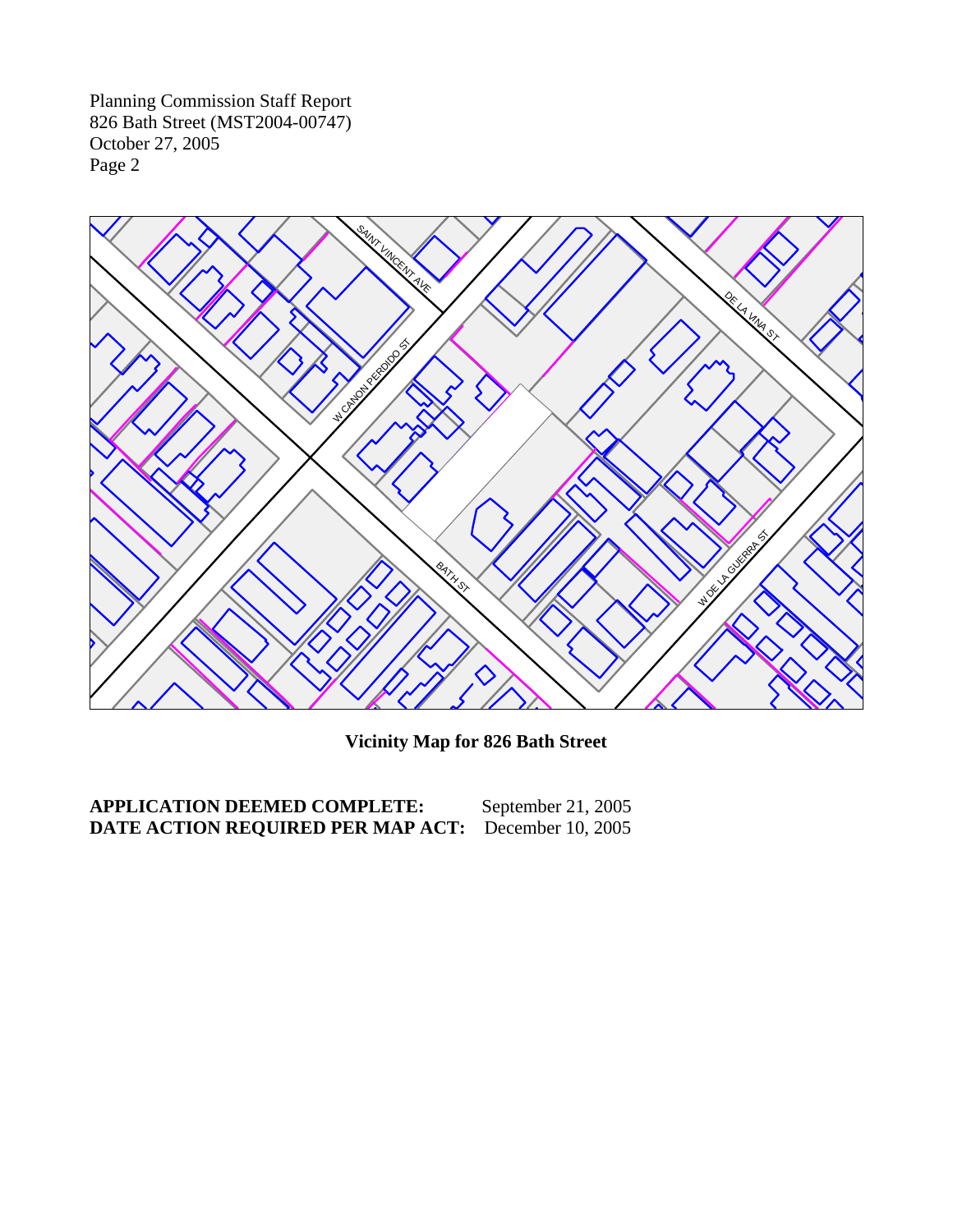

**Vicinity Map for 826 Bath Street** 

**APPLICATION DEEMED COMPLETE:** September 21, 2005 **DATE ACTION REQUIRED PER MAP ACT:** December 10, 2005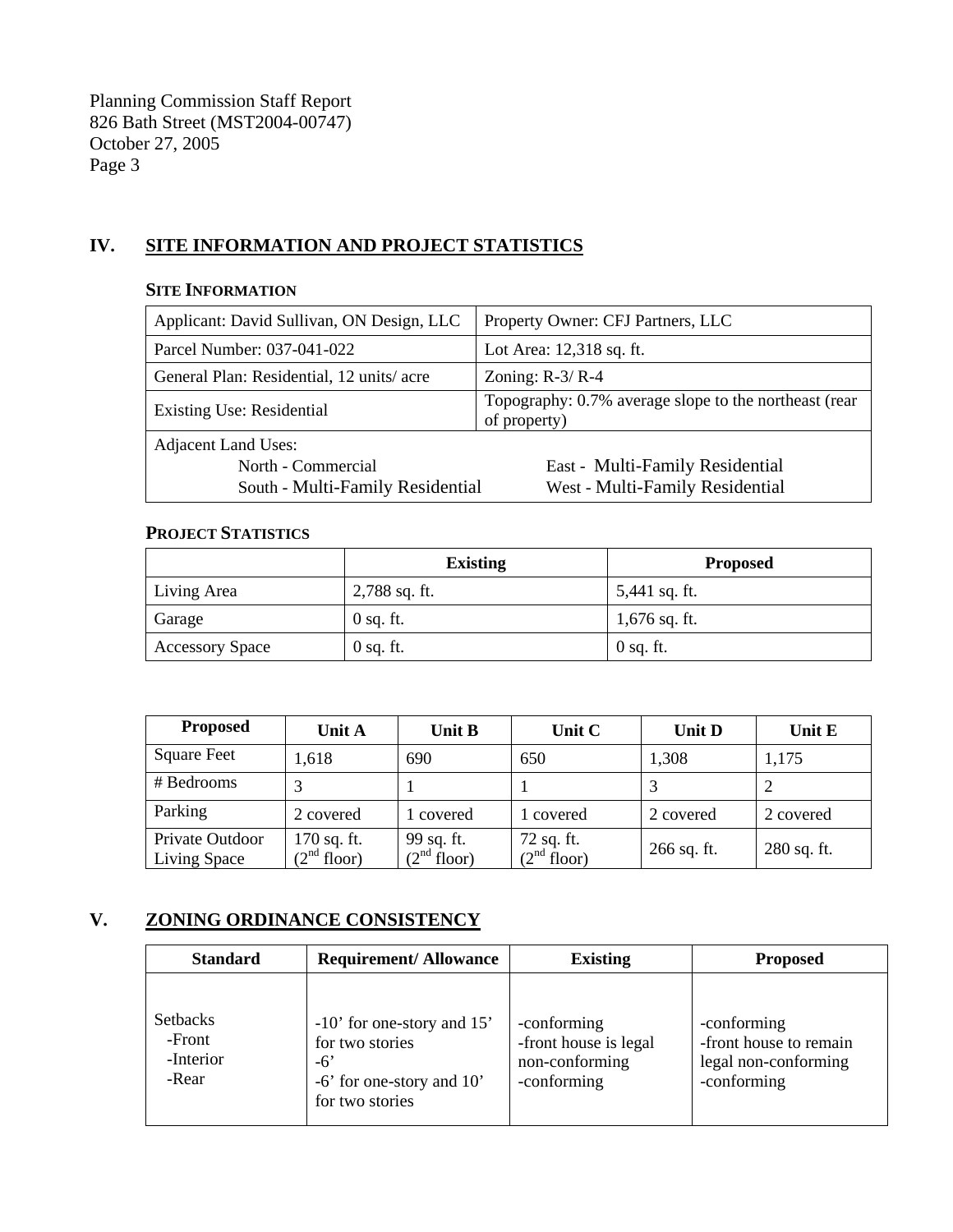## **IV. SITE INFORMATION AND PROJECT STATISTICS**

#### **SITE INFORMATION**

| Applicant: David Sullivan, ON Design, LLC | Property Owner: CFJ Partners, LLC                                     |  |
|-------------------------------------------|-----------------------------------------------------------------------|--|
| Parcel Number: 037-041-022                | Lot Area: 12,318 sq. ft.                                              |  |
| General Plan: Residential, 12 units/acre  | Zoning: $R-3/R-4$                                                     |  |
| <b>Existing Use: Residential</b>          | Topography: 0.7% average slope to the northeast (rear<br>of property) |  |
| <b>Adjacent Land Uses:</b>                |                                                                       |  |
| North - Commercial                        | East - Multi-Family Residential                                       |  |
| South - Multi-Family Residential          | West - Multi-Family Residential                                       |  |

#### **PROJECT STATISTICS**

|                        | <b>Existing</b> | <b>Proposed</b> |
|------------------------|-----------------|-----------------|
| Living Area            | $2,788$ sq. ft. | 5,441 sq. ft.   |
| Garage                 | $0$ sq. ft.     | $1,676$ sq. ft. |
| <b>Accessory Space</b> | $0$ sq. ft.     | $0$ sq. ft.     |

| <b>Proposed</b>                 | <b>Unit A</b>                            | <b>Unit B</b>               | Unit C                      | <b>Unit D</b> | Unit E      |
|---------------------------------|------------------------------------------|-----------------------------|-----------------------------|---------------|-------------|
| <b>Square Feet</b>              | 1,618                                    | 690                         | 650                         | 1,308         | 1,175       |
| # Bedrooms                      |                                          |                             |                             |               |             |
| Parking                         | 2 covered                                | 1 covered                   | l covered                   | 2 covered     | 2 covered   |
| Private Outdoor<br>Living Space | $170$ sq. ft.<br>(2 <sup>nd</sup> floor) | 99 sq. ft.<br>$(2nd$ floor) | 72 sq. ft.<br>$(2nd$ floor) | 266 sq. ft.   | 280 sq. ft. |

## **V. ZONING ORDINANCE CONSISTENCY**

| <b>Standard</b>                                 | <b>Requirement/Allowance</b>                                                                             | <b>Existing</b>                                                       | <b>Proposed</b>                                                              |
|-------------------------------------------------|----------------------------------------------------------------------------------------------------------|-----------------------------------------------------------------------|------------------------------------------------------------------------------|
| <b>Setbacks</b><br>-Front<br>-Interior<br>-Rear | $-10'$ for one-story and 15'<br>for two stories<br>$-6'$<br>-6' for one-story and 10'<br>for two stories | -conforming<br>-front house is legal<br>non-conforming<br>-conforming | -conforming<br>-front house to remain<br>legal non-conforming<br>-conforming |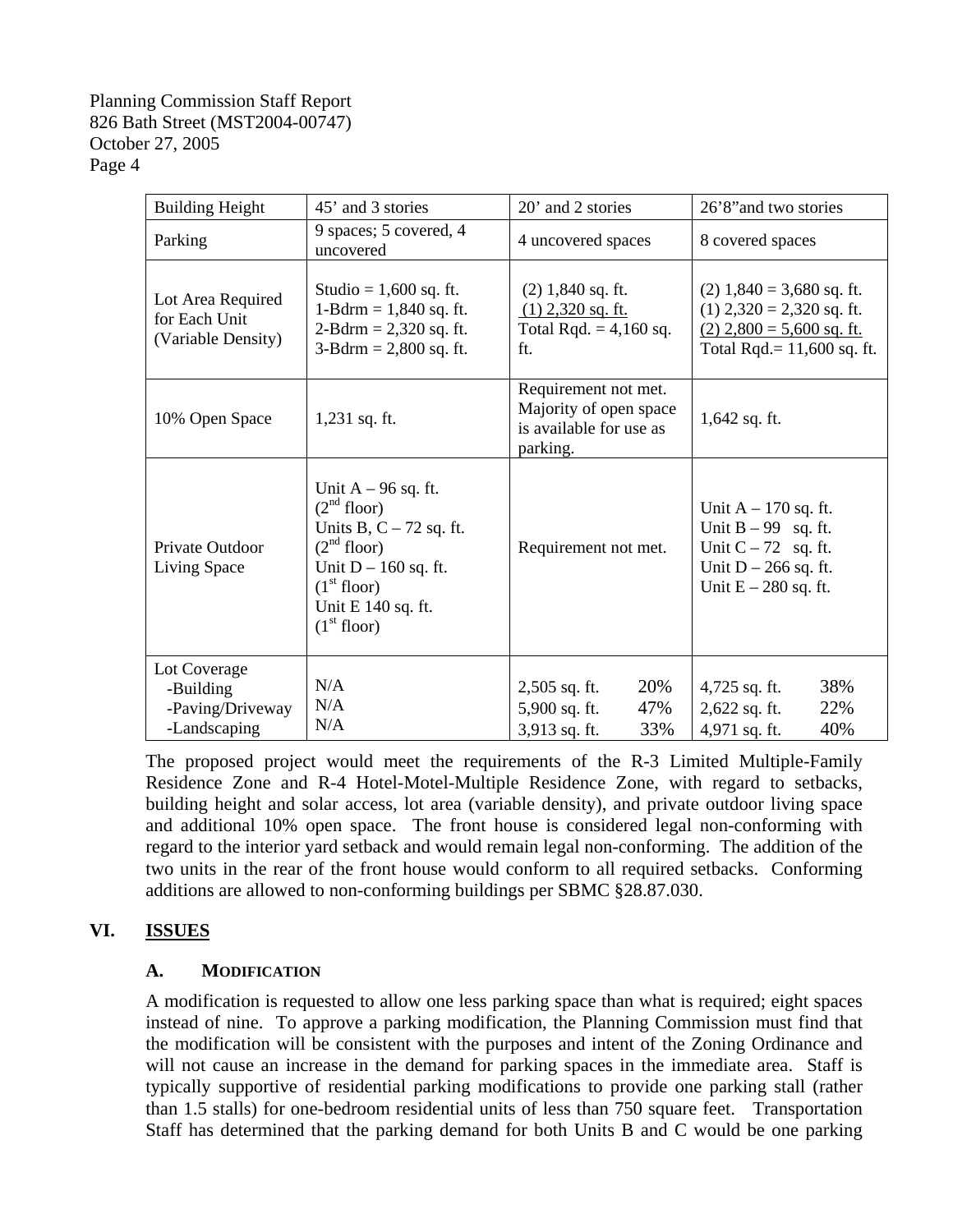| <b>Building Height</b>                                        | 45' and 3 stories                                                                                                                                                                                              | 20' and 2 stories                                                                     | 26'8" and two stories                                                                                                        |
|---------------------------------------------------------------|----------------------------------------------------------------------------------------------------------------------------------------------------------------------------------------------------------------|---------------------------------------------------------------------------------------|------------------------------------------------------------------------------------------------------------------------------|
| Parking                                                       | 9 spaces; 5 covered, 4<br>uncovered                                                                                                                                                                            | 4 uncovered spaces                                                                    | 8 covered spaces                                                                                                             |
| Lot Area Required<br>for Each Unit<br>(Variable Density)      | Studio = $1,600$ sq. ft.<br>1-Bdrm = $1,840$ sq. ft.<br>$2-Bdrm = 2,320$ sq. ft.<br>$3 - Bdrm = 2,800$ sq. ft.                                                                                                 | $(2)$ 1,840 sq. ft.<br>$(1)$ 2,320 sq. ft.<br>Total Rqd. $= 4,160$ sq.<br>ft.         | $(2)$ 1,840 = 3,680 sq. ft.<br>$(1)$ 2,320 = 2,320 sq. ft.<br>$(2)$ 2,800 = 5,600 sq. ft.<br>Total Rqd. = $11,600$ sq. ft.   |
| 10% Open Space                                                | $1,231$ sq. ft.                                                                                                                                                                                                | Requirement not met.<br>Majority of open space<br>is available for use as<br>parking. | $1,642$ sq. ft.                                                                                                              |
| Private Outdoor<br>Living Space                               | Unit $A - 96$ sq. ft.<br>(2 <sup>nd</sup> floor)<br>Units B, $C - 72$ sq. ft.<br>(2 <sup>nd</sup> floor)<br>Unit $D - 160$ sq. ft.<br>(1 <sup>st</sup> floor)<br>Unit E 140 sq. ft.<br>(1 <sup>st</sup> floor) | Requirement not met.                                                                  | Unit $A - 170$ sq. ft.<br>Unit $B - 99$ sq. ft.<br>Unit $C - 72$ sq. ft.<br>Unit $D - 266$ sq. ft.<br>Unit $E - 280$ sq. ft. |
| Lot Coverage<br>-Building<br>-Paving/Driveway<br>-Landscaping | N/A<br>N/A<br>N/A                                                                                                                                                                                              | 20%<br>2,505 sq. ft.<br>5,900 sq. ft.<br>47%<br>3,913 sq. ft.<br>33%                  | 38%<br>4,725 sq. ft.<br>22%<br>2,622 sq. ft.<br>40%<br>4,971 sq. ft.                                                         |

The proposed project would meet the requirements of the R-3 Limited Multiple-Family Residence Zone and R-4 Hotel-Motel-Multiple Residence Zone, with regard to setbacks, building height and solar access, lot area (variable density), and private outdoor living space and additional 10% open space. The front house is considered legal non-conforming with regard to the interior yard setback and would remain legal non-conforming. The addition of the two units in the rear of the front house would conform to all required setbacks. Conforming additions are allowed to non-conforming buildings per SBMC §28.87.030.

## **VI. ISSUES**

## **A. MODIFICATION**

A modification is requested to allow one less parking space than what is required; eight spaces instead of nine. To approve a parking modification, the Planning Commission must find that the modification will be consistent with the purposes and intent of the Zoning Ordinance and will not cause an increase in the demand for parking spaces in the immediate area. Staff is typically supportive of residential parking modifications to provide one parking stall (rather than 1.5 stalls) for one-bedroom residential units of less than 750 square feet.Transportation Staff has determined that the parking demand for both Units B and C would be one parking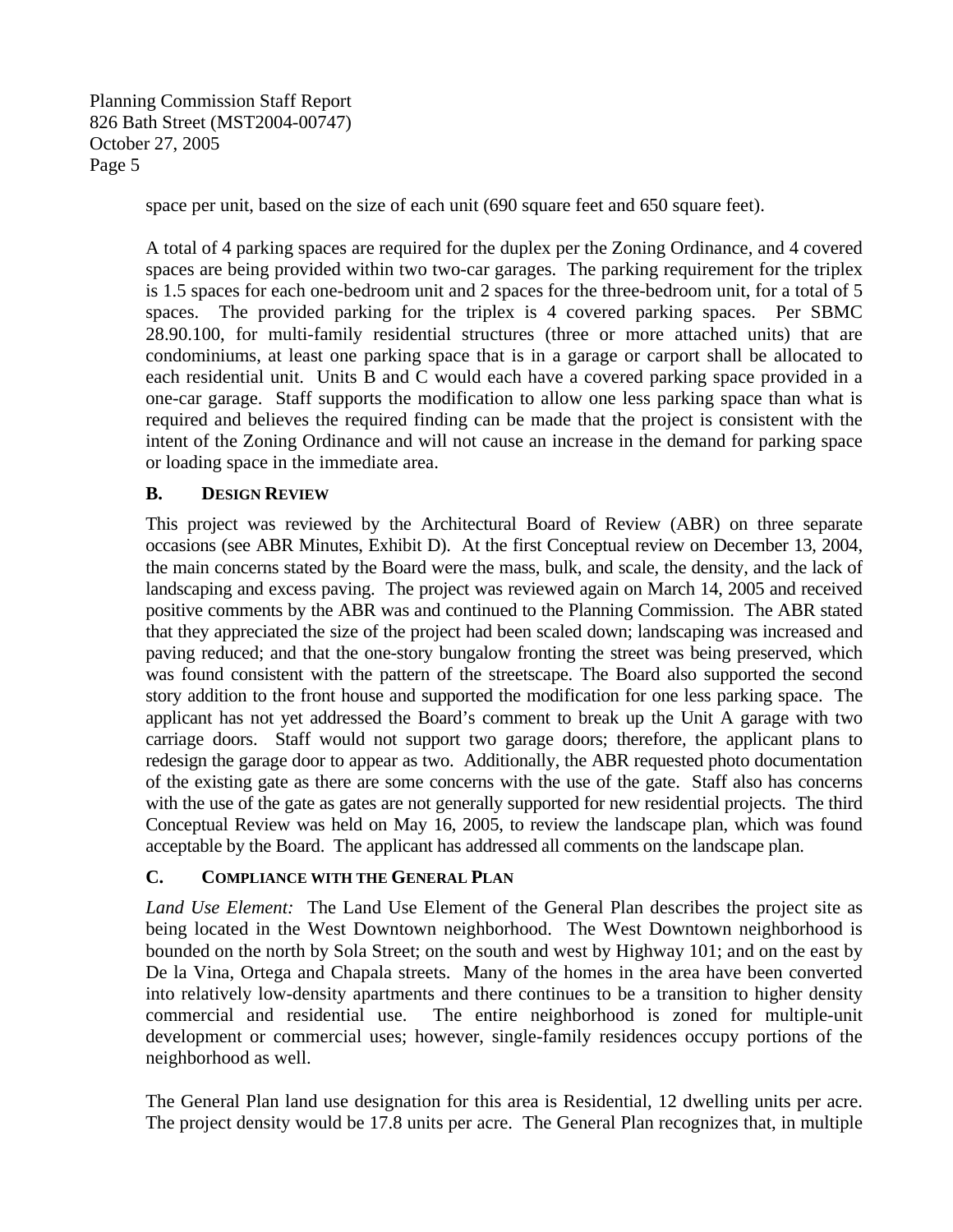space per unit, based on the size of each unit (690 square feet and 650 square feet).

A total of 4 parking spaces are required for the duplex per the Zoning Ordinance, and 4 covered spaces are being provided within two two-car garages. The parking requirement for the triplex is 1.5 spaces for each one-bedroom unit and 2 spaces for the three-bedroom unit, for a total of 5 spaces. The provided parking for the triplex is 4 covered parking spaces. Per SBMC 28.90.100, for multi-family residential structures (three or more attached units) that are condominiums, at least one parking space that is in a garage or carport shall be allocated to each residential unit. Units B and C would each have a covered parking space provided in a one-car garage. Staff supports the modification to allow one less parking space than what is required and believes the required finding can be made that the project is consistent with the intent of the Zoning Ordinance and will not cause an increase in the demand for parking space or loading space in the immediate area.

### **B. DESIGN REVIEW**

This project was reviewed by the Architectural Board of Review (ABR) on three separate occasions (see ABR Minutes, Exhibit D). At the first Conceptual review on December 13, 2004, the main concerns stated by the Board were the mass, bulk, and scale, the density, and the lack of landscaping and excess paving. The project was reviewed again on March 14, 2005 and received positive comments by the ABR was and continued to the Planning Commission. The ABR stated that they appreciated the size of the project had been scaled down; landscaping was increased and paving reduced; and that the one-story bungalow fronting the street was being preserved, which was found consistent with the pattern of the streetscape. The Board also supported the second story addition to the front house and supported the modification for one less parking space. The applicant has not yet addressed the Board's comment to break up the Unit A garage with two carriage doors. Staff would not support two garage doors; therefore, the applicant plans to redesign the garage door to appear as two. Additionally, the ABR requested photo documentation of the existing gate as there are some concerns with the use of the gate. Staff also has concerns with the use of the gate as gates are not generally supported for new residential projects. The third Conceptual Review was held on May 16, 2005, to review the landscape plan, which was found acceptable by the Board. The applicant has addressed all comments on the landscape plan.

#### **C. COMPLIANCE WITH THE GENERAL PLAN**

*Land Use Element:* The Land Use Element of the General Plan describes the project site as being located in the West Downtown neighborhood. The West Downtown neighborhood is bounded on the north by Sola Street; on the south and west by Highway 101; and on the east by De la Vina, Ortega and Chapala streets. Many of the homes in the area have been converted into relatively low-density apartments and there continues to be a transition to higher density commercial and residential use. The entire neighborhood is zoned for multiple-unit development or commercial uses; however, single-family residences occupy portions of the neighborhood as well.

The General Plan land use designation for this area is Residential, 12 dwelling units per acre. The project density would be 17.8 units per acre. The General Plan recognizes that, in multiple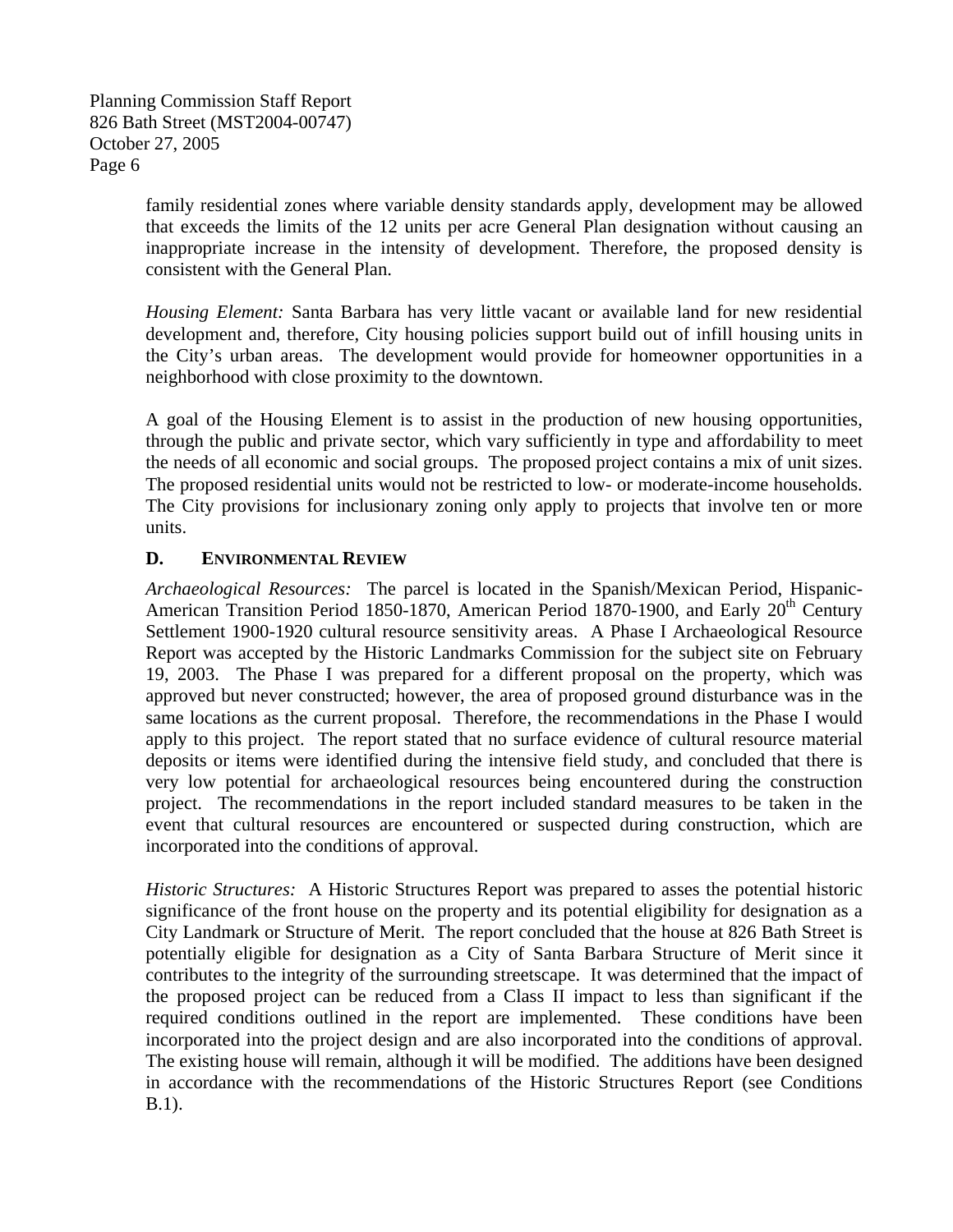> family residential zones where variable density standards apply, development may be allowed that exceeds the limits of the 12 units per acre General Plan designation without causing an inappropriate increase in the intensity of development. Therefore, the proposed density is consistent with the General Plan.

> *Housing Element:* Santa Barbara has very little vacant or available land for new residential development and, therefore, City housing policies support build out of infill housing units in the City's urban areas. The development would provide for homeowner opportunities in a neighborhood with close proximity to the downtown.

> A goal of the Housing Element is to assist in the production of new housing opportunities, through the public and private sector, which vary sufficiently in type and affordability to meet the needs of all economic and social groups. The proposed project contains a mix of unit sizes. The proposed residential units would not be restricted to low- or moderate-income households. The City provisions for inclusionary zoning only apply to projects that involve ten or more units.

## **D. ENVIRONMENTAL REVIEW**

*Archaeological Resources:* The parcel is located in the Spanish/Mexican Period, Hispanic-American Transition Period 1850-1870, American Period 1870-1900, and Early  $20<sup>th</sup>$  Century Settlement 1900-1920 cultural resource sensitivity areas. A Phase I Archaeological Resource Report was accepted by the Historic Landmarks Commission for the subject site on February 19, 2003. The Phase I was prepared for a different proposal on the property, which was approved but never constructed; however, the area of proposed ground disturbance was in the same locations as the current proposal. Therefore, the recommendations in the Phase I would apply to this project. The report stated that no surface evidence of cultural resource material deposits or items were identified during the intensive field study, and concluded that there is very low potential for archaeological resources being encountered during the construction project. The recommendations in the report included standard measures to be taken in the event that cultural resources are encountered or suspected during construction, which are incorporated into the conditions of approval.

*Historic Structures:* A Historic Structures Report was prepared to asses the potential historic significance of the front house on the property and its potential eligibility for designation as a City Landmark or Structure of Merit. The report concluded that the house at 826 Bath Street is potentially eligible for designation as a City of Santa Barbara Structure of Merit since it contributes to the integrity of the surrounding streetscape. It was determined that the impact of the proposed project can be reduced from a Class II impact to less than significant if the required conditions outlined in the report are implemented. These conditions have been incorporated into the project design and are also incorporated into the conditions of approval. The existing house will remain, although it will be modified. The additions have been designed in accordance with the recommendations of the Historic Structures Report (see Conditions B.1).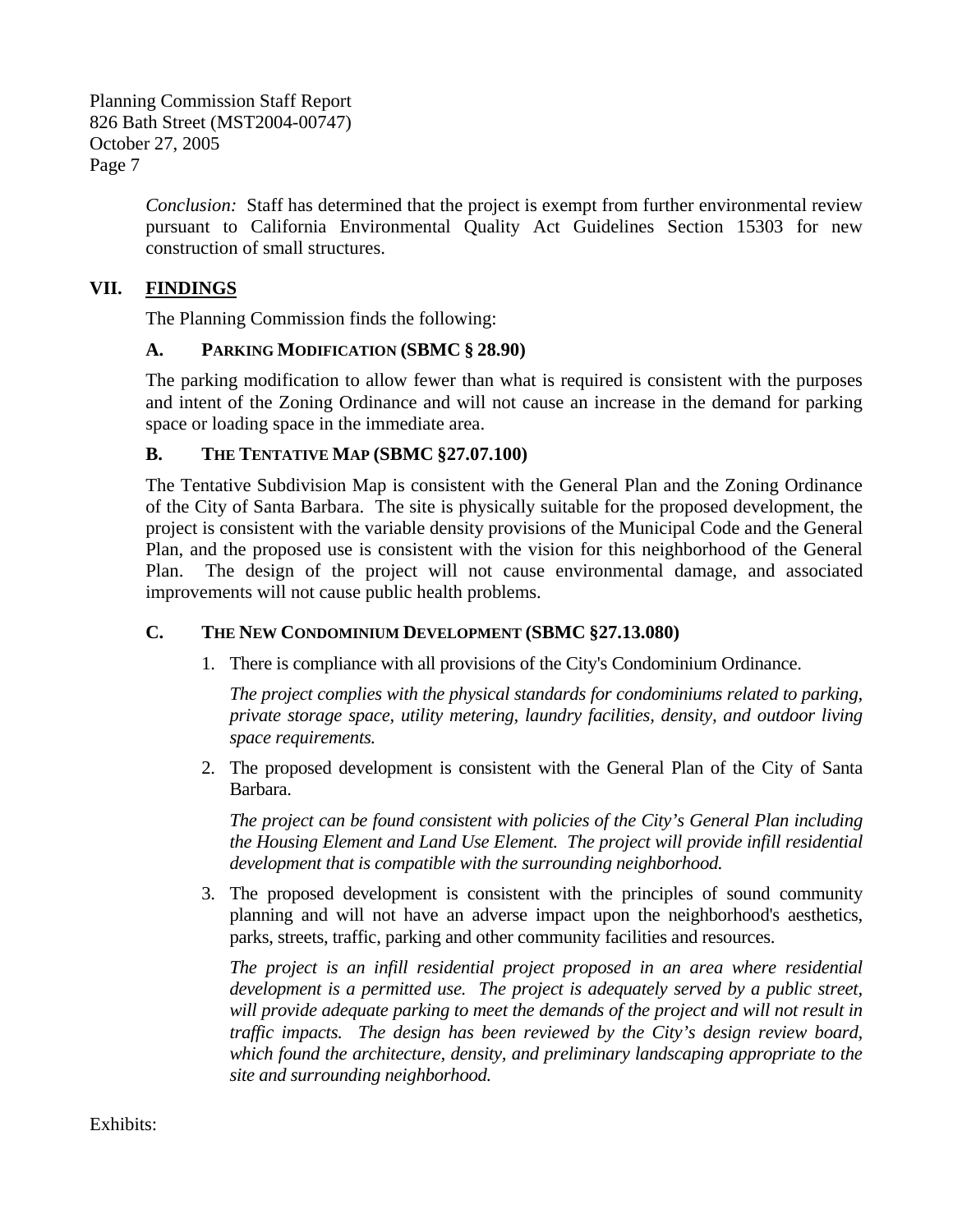> *Conclusion:* Staff has determined that the project is exempt from further environmental review pursuant to California Environmental Quality Act Guidelines Section 15303 for new construction of small structures.

## **VII. FINDINGS**

The Planning Commission finds the following:

### **A. PARKING MODIFICATION (SBMC § 28.90)**

The parking modification to allow fewer than what is required is consistent with the purposes and intent of the Zoning Ordinance and will not cause an increase in the demand for parking space or loading space in the immediate area.

## **B. THE TENTATIVE MAP (SBMC §27.07.100)**

The Tentative Subdivision Map is consistent with the General Plan and the Zoning Ordinance of the City of Santa Barbara. The site is physically suitable for the proposed development, the project is consistent with the variable density provisions of the Municipal Code and the General Plan, and the proposed use is consistent with the vision for this neighborhood of the General Plan. The design of the project will not cause environmental damage, and associated improvements will not cause public health problems.

## **C. THE NEW CONDOMINIUM DEVELOPMENT (SBMC §27.13.080)**

1. There is compliance with all provisions of the City's Condominium Ordinance.

*The project complies with the physical standards for condominiums related to parking, private storage space, utility metering, laundry facilities, density, and outdoor living space requirements.* 

2. The proposed development is consistent with the General Plan of the City of Santa Barbara.

*The project can be found consistent with policies of the City's General Plan including the Housing Element and Land Use Element. The project will provide infill residential development that is compatible with the surrounding neighborhood.* 

3. The proposed development is consistent with the principles of sound community planning and will not have an adverse impact upon the neighborhood's aesthetics, parks, streets, traffic, parking and other community facilities and resources.

*The project is an infill residential project proposed in an area where residential development is a permitted use. The project is adequately served by a public street, will provide adequate parking to meet the demands of the project and will not result in traffic impacts. The design has been reviewed by the City's design review board, which found the architecture, density, and preliminary landscaping appropriate to the site and surrounding neighborhood.* 

Exhibits: